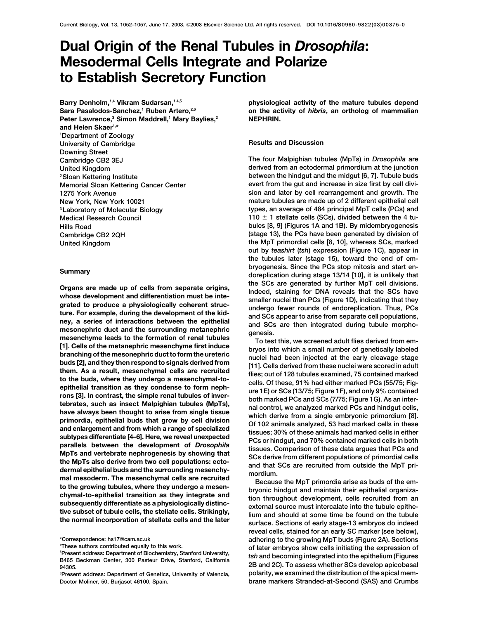# **Dual Origin of the Renal Tubules in** *Drosophila***: Mesodermal Cells Integrate and Polarize to Establish Secretory Function**

Barry Denholm,<sup>1,4</sup> Vikram Sudarsan,<sup>1,4,5</sup> Sara Pasalodos-Sanchez,<sup>1</sup> Ruben Artero,<sup>2,6</sup> Peter Lawrence,<sup>3</sup> Simon Maddrell,<sup>1</sup> Mary Baylies,<sup>2</sup> **and Helen Skaer1,\* 1 Department of Zoology University of Cambridge Results and Discussion Downing Street Cambridge CB2 3EJ The four Malpighian tubules (MpTs) in** *Drosophila* **are**

Organs are made up of cells from separate origins,<br>
ine iSGs are generate of given in the SCs are generated by turbure MPT cell divisions,<br>
whowen terestinated to produce a physiologically ocherent structure.<br>
For example

**physiological activity of the mature tubules depend on the activity of** *hibris***, an ortholog of mammalian NEPHRIN.**

**United Kingdom derived from an ectodermal primordium at the junction 2Sloan Kettering Institute between the hindgut and the midgut [6, 7]. Tubule buds Memorial Sloan Kettering Cancer Center evert from the gut and increase in size first by cell divi-1275 York Avenue sion and later by cell rearrangement and growth. The New York, New York 10021 mature tubules are made up of 2 different epithelial cell 3Laboratory of Molecular Biology types, an average of 484 principal MpT cells (PCs) and Medical Research Council 110**  $\pm$  1 stellate cells (SCs), divided between the 4 tu-**Hills Road bules [8, 9] (Figures 1A and 1B). By midembryogenesis Cambridge CB2 2QH (stage 13), the PCs have been generated by division of United Kingdom the MpT primordial cells [8, 10], whereas SCs, marked out by** *teashirt* **(***tsh***) expression (Figure 1C), appear in the tubules later (stage 15), toward the end of embryogenesis. Since the PCs stop mitosis and start en- Summary doreplication during stage 13/14 [10], it is unlikely that**

**reveal cells, stained for an early SC marker (see below), \*Correspondence: hs17@cam.ac.uk adhering to the growing MpT buds (Figure 2A). Sections These authors contributed equally to this work. of later embryos show cells initiating the expression of <sup>5</sup>** Fresent address. Department of Biochemistry, Stanford, California<br>
194305.<br>
94305.<br>
Persent address: Department of Genetics Thiversity of Valencia<br>
Persent address: Department of Genetics Thiversity of Valencia<br>
polarity, **6 Present address: Department of Genetics, University of Valencia, polarity, we examined the distribution of the apical mem-**

<sup>&</sup>lt;sup>4</sup>These authors contributed equally to this work.

**Doctor Moliner, 50, Burjasot 46100, Spain. brane markers Stranded-at-Second (SAS) and Crumbs**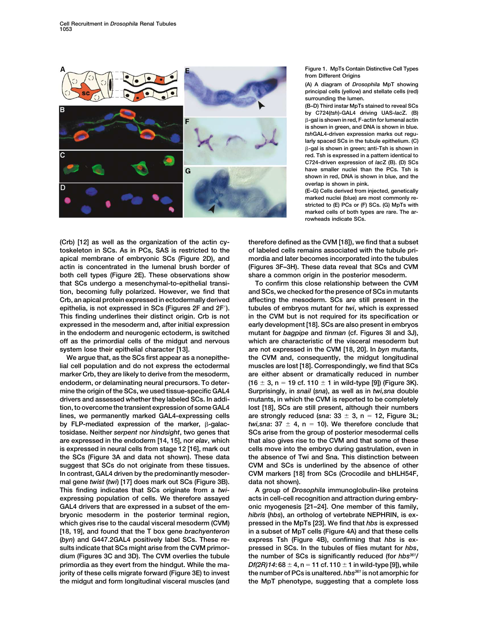

**Figure 1. MpTs Contain Distinctive Cell Types from Different Origins**

**(A) A diagram of** *Drosophila* **MpT showing principal cells (yellow) and stellate cells (red) surrounding the lumen.**

**(B–D) Third instar MpTs stained to reveal SCs by C724(***tsh***)-GAL4 driving UAS-***lac***Z. (B)** -**-gal is shown in red, F-actin for lumenal actin is shown in green, and DNA is shown in blue.** *tsh***GAL4-driven expression marks out regularly spaced SCs in the tubule epithelium. (C)** -**-gal is shown in green; anti-Tsh is shown in red. Tsh is expressed in a pattern identical to C724-driven expression of** *lac***Z (B). (D) SCs have smaller nuclei than the PCs. Tsh is shown in red, DNA is shown in blue, and the overlap is shown in pink.**

**(E–G) Cells derived from injected, genetically marked nuclei (blue) are most commonly restricted to (E) PCs or (F) SCs. (G) MpTs with marked cells of both types are rare. The arrowheads indicate SCs.**

**(Crb) [12] as well as the organization of the actin cy- therefore defined as the CVM [18]), we find that a subset toskeleton in SCs. As in PCs, SAS is restricted to the of labeled cells remains associated with the tubule priapical membrane of embryonic SCs (Figure 2D), and mordia and later becomes incorporated into the tubules actin is concentrated in the lumenal brush border of (Figures 3F–3H). These data reveal that SCs and CVM both cell types (Figure 2E). These observations show share a common origin in the posterior mesoderm. that SCs undergo a mesenchymal-to-epithelial transi- To confirm this close relationship between the CVM tion, becoming fully polarized. However, we find that and SCs, we checked for the presence of SCs in mutants Crb, an apical protein expressed in ectodermally derived affecting the mesoderm. SCs are still present in the epithelia, is not expressed in SCs (Figures 2F and 2F). tubules of embryos mutant for** *twi***, which is expressed This finding underlines their distinct origin. Crb is not in the CVM but is not required for its specification or expressed in the mesoderm and, after initial expression early development [18]. SCs are also present in embryos in the endoderm and neurogenic ectoderm, is switched mutant for** *bagpipe* **and** *tinman* **(cf. Figures 3I and 3J), off as the primordial cells of the midgut and nervous which are characteristic of the visceral mesoderm but system lose their epithelial character [13]. are not expressed in the CVM [18, 20]. In** *byn* **mutants,**

**lial cell population and do not express the ectodermal muscles are lost [18]. Correspondingly, we find that SCs marker Crb, they are likely to derive from the mesoderm, are either absent or dramatically reduced in number endoderm, or delaminating neural precursors. To deter- (16 3, n 19 cf. 110 1 in wild-type [9]) (Figure 3K). mine the origin of the SCs, we used tissue-specific GAL4 Surprisingly, in** *snail* **(***sna***), as well as in** *twi,sna* **double drivers and assessed whether they labeled SCs. In addi- mutants, in which the CVM is reported to be completely tion, to overcome the transient expression of some GAL4 lost [18], SCs are still present, although their numbers lines, we permanently marked GAL4-expressing cells are strongly reduced (***sna***: 33 3, n 12, Figure 3L;** by FLP-mediated expression of the marker,  $\beta$ -galac**tosidase. Neither** *serpent* **nor** *hindsight***, two genes that SCs arise from the group of posterior mesodermal cells are expressed in the endoderm [14, 15], nor** *elav***, which that also gives rise to the CVM and that some of these is expressed in neural cells from stage 12 [16], mark out cells move into the embryo during gastrulation, even in the SCs (Figure 3A and data not shown). These data the absence of Twi and Sna. This distinction between suggest that SCs do not originate from these tissues. CVM and SCs is underlined by the absence of other In contrast, GAL4 driven by the predominantly mesoder- CVM markers [18] from SCs (Crocodile and bHLH54F, mal gene** *twist* **(***twi***) [17] does mark out SCs (Figure 3B). data not shown). This finding indicates that SCs originate from a** *twi***- A group of** *Drosophila* **immunoglobulin-like proteins expressing population of cells. We therefore assayed acts in cell-cell recognition and attraction during embry-GAL4 drivers that are expressed in a subset of the em- onic myogenesis [21–24]. One member of this family, bryonic mesoderm in the posterior terminal region,** *hibris* **(***hbs***), an ortholog of vertebrate NEPHRIN, is exwhich gives rise to the caudal visceral mesoderm (CVM) pressed in the MpTs [23]. We find that** *hbs* **is expressed [18, 19], and found that the T box gene** *brachyenteron* **in a subset of MpT cells (Figure 4A) and that these cells (***byn***) and G447.2GAL4 positively label SCs. These re- express Tsh (Figure 4B), confirming that** *hbs* **is exsults indicate that SCs might arise from the CVM primor- pressed in SCs. In the tubules of flies mutant for** *hbs***, dium (Figures 3C and 3D). The CVM overlies the tubule the number of SCs is significantly reduced (for** *hbs361/* **primordia as they evert from the hindgut. While the ma-**  $Df(2R)14:68 \pm 4$ , n = 11 cf. 110  $\pm$  1 in wild-type [9]), while **jority of these cells migrate forward (Figure 3E) to invest the number of PCs is unaltered.** *hbs361* **is not amorphic for the midgut and form longitudinal visceral muscles (and the MpT phenotype, suggesting that a complete loss**

**We argue that, as the SCs first appear as a nonepithe- the CVM and, consequently, the midgut longitudinal** *twi,sna*:  $37 \pm 4$ ,  $n = 10$ ). We therefore conclude that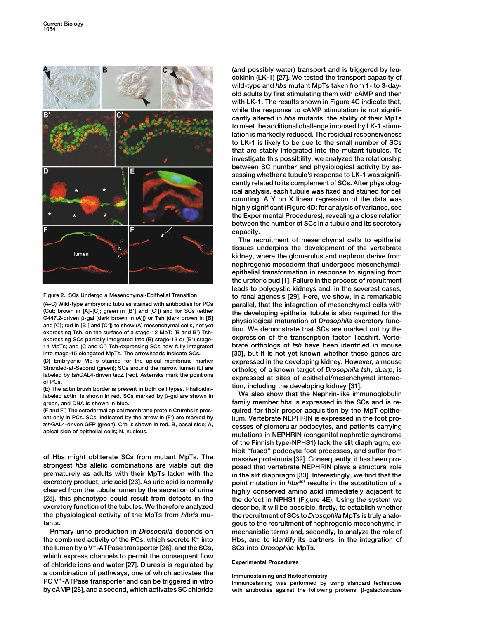



**(A–C) Wild-type embryonic tubules stained with antibodies for PCs parallel, that the integration of mesenchymal cells with** (Cut; brown in [A]–[C]; green in [B<sup>'</sup>] and [C']) and for SCs (either **the developing epithelial tubule is also required for the**<br>
G447.2-driven <sup>g-</sup>gal [dark brown in (A)]) or Tsh (dark brown in [B] **physiological maturat** and [C]; red in [B'] and [C']) to show (A) mesenchymal cells, not yet<br>expressing Tsh, on the surface of a stage-12 MpT; (B and B') Tsh-<br>expressing SCs partially integrated into (B) stage-13 or (B') stage-<br>expression of the **14 MpTs; and (C and C) Tsh-expressing SCs now fully integrated brate orthologs of** *tsh* **have been identified in mouse**

 $labeled$  actin is shown in red, SCs marked by  $\beta$ -gal are shown in

**ent only in PCs. SCs, indicated by the arrow in (F) are marked by lium. Vertebrate NEPHRIN is expressed in the foot pro-**

**strongest** *hbs* **allelic combinations are viable but die posed that vertebrate NEPHRIN plays a structural role excretory product, uric acid [23]. As uric acid is normally point mutation in** *hbs361* **results in the substitution of a cleared from the tubule lumen by the secretion of urine highly conserved amino acid immediately adjacent to excretory function of the tubules. We therefore analyzed describe, it will be possible, firstly, to establish whether the physiological activity of the MpTs from** *hibris* **mu- the recruitment of SCs to** *Drosophila* **MpTs is truly analotants. gous to the recruitment of nephrogenic mesenchyme in**

the combined activity of the PCs, which secrete K<sup>+</sup> into Hbs, and to identify its partners, in the integration of **the lumen by a V<sup>+</sup>-ATPase transporter [26], and the SCs, SCs into** *Drosophila* **MpTs. which express channels to permit the consequent flow Experimental Procedures of chloride ions and water [27]. Diuresis is regulated by** a combination of pathways, one of which activates the limmunostaining and Histochemistry<br>PC V<sup>+</sup>-ATPase transporter and can be triggered in vitro limmunostaining was performed by using standard techniques **by cAMP [28], and a second, which activates SC chloride with antibodies against the following proteins:** -

**(and possibly water) transport and is triggered by leucokinin (LK-1) [27]. We tested the transport capacity of wild-type and** *hbs* **mutant MpTs taken from 1- to 3-dayold adults by first stimulating them with cAMP and then with LK-1. The results shown in Figure 4C indicate that, while the response to cAMP stimulation is not significantly altered in** *hbs* **mutants, the ability of their MpTs to meet the additional challenge imposed by LK-1 stimulation is markedly reduced. The residual responsiveness to LK-1 is likely to be due to the small number of SCs that are stably integrated into the mutant tubules. To investigate this possibility, we analyzed the relationship between SC number and physiological activity by assessing whether a tubule's response to LK-1 was significantly related to its complement of SCs. After physiological analysis, each tubule was fixed and stained for cell counting. A Y on X linear regression of the data was highly significant (Figure 4D; for analysis of variance, see the Experimental Procedures), revealing a close relation between the number of SCs in a tubule and its secretory capacity.**

**The recruitment of mesenchymal cells to epithelial tissues underpins the development of the vertebrate kidney, where the glomerulus and nephron derive from nephrogenic mesoderm that undergoes mesenchymalepithelial transformation in response to signaling from the ureteric bud [1]. Failure in the process of recruitment leads to polycystic kidneys and, in the severest cases, Figure 2. SCs Undergo a Mesenchymal-Epithelial Transition to renal agenesis [29]. Here, we show, in a remarkable into stage-15 elongated MpTs. The arrowheads indicate SCs. [30], but it is not yet known whether these genes are (D) Embryonic MpTs stained for the apical membrane marker expressed in the developing kidney. However, a mouse** Stranded-at-Second (green); SCs around the narrow lumen (L) are<br>
labeled by tshGAL4-driven lacZ (red). Asterisks mark the positions<br>
of PCs.<br>
(E) The actin brush border is present in both cell types. Phalloidin-<br>
(E) The a

We also show that the Nephrin-like immunoglobulin **green, and DNA is shown in blue. family member** *hbs* **is expressed in the SCs and is re- (F and F) The ectodermal apical membrane protein Crumbs is pres- quired for their proper acquisition by the MpT epithe**tshGAL4-driven GFP (green). Crb is shown in red. B, basal side; A, cesses of glomerular podocytes, and patients carrying<br>mutations in NEPHRIN (congenital nephrotic syndrome **of the Finnish type-NPHS1) lack the slit diaphragm, ex**hibit "fused" podocyte foot processes, and suffer from<br>
of Hbs might obliterate SCs from mutant MpTs. The massive proteinuria [32]. Consequently, it has been pro-<br> **proced that vertebrate NEPHRIN plays a structural role**<br> in the slit diaphragm [33]. Interestingly, we find that the **[25], this phenotype could result from defects in the the defect in NPHS1 (Figure 4E). Using the system we Primary urine production in** *Drosophila* **depends on mechanistic terms and, secondly, to analyze the role of**

with antibodies against the following proteins:  $\beta$ -galactosidase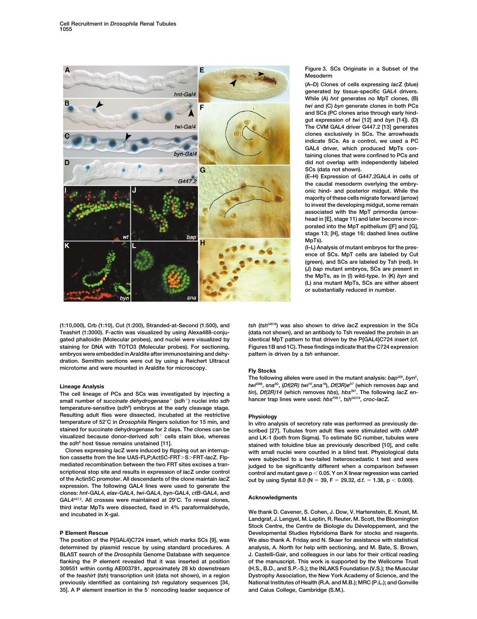

**(1:10,000), Crb (1:10), Cut (1:200), Stranded-at-Second (1:500), and** *tsh* **(***tsh04519***) was also shown to drive** *lac***Z expression in the SCs** gated phalloidin (Molecular probes), and nuclei were visualized by identical MpT pattern to that driven by the P{GAL4}C724 insert (cf. **staining for DNA with TOTO3 (Molecular probes). For sectioning, Figures 1B and 1C). These findings indicate that the C724 expression embryos were embedded in Araldite after immunostaining and dehy- pattern is driven by a** *tsh* **enhancer. dration. Semithin sections were cut by using a Reichert Ultracut microtome and were mounted in Araldite for microscopy. Fly Stocks**

The cell lineage of PCs and SCs was investigated by injecting a **. but all the** *Df(2R)14* (which removes *hbs*), *hbs*<sup>361</sup>. The following<br>small number of succinate dehydrogenase<sup>+</sup> (sdh+) nuclei into sdh hancer trap line **hancer trap lines were used:** *hbsP36.1***,** *tsh04319***,** *croc-lac***Z. small number of** *succinate dehydrogenase* **(***sdh***) nuclei into** *sdh* **temperature-sensitive (***sdh8* **) embryos at the early cleavage stage. Resulting adult flies were dissected, incubated at the restrictive <b>Physiology** temperature of 52°C in *Drosophila* Ringers solution for 15 min, and larger in vitro and **temperature of 52C in** *Drosophila* **Ringers solution for 15 min, and In vitro analysis of secretory rate was performed as previously de-**

**scriptional stop site and results in expression of** *lac***<b>Z** under control  $\frac{1}{2}$  control and mutant gave p < 0.05. Y on X linear regression was carried of the Actin5C promoter. All descendants of the clone maintain *l* **expression. The following GAL4 lines were used to generate the** clones: hnt-GAL4, elav-GAL4, twi-GAL4, byn-GAL4, ctB-GAL4, and<br>GAL4<sup>4472</sup>. All crosses were maintained at 29°C. To reveal clones, Acknowledgments third instar MpTs were dissected, fixed in 4% paraformaldehyde,<br>and incubated in X-gal. The Section of Allen and incubated in X-gal.<br>Landgraf, J. Lengyel, M. Leptin, R. Reuter, M. Scott, the Bloomington

**BLAST search of the** *Drosophila* **Genome Database with sequence J. Castelli-Gair, and colleagues in our labs for their critical reading flanking the P element revealed that it was inserted at position of the manuscript. This work is supported by the Wellcome Trust 309551 within contig AE003781, approximately 28 kb downstream (H.S., B.D., and S.P.-S.); the INLAKS Foundation (V.S.); the Muscular of the** *teashirt* **(***tsh***) transcription unit (data not shown), in a region Dystrophy Association, the New York Academy of Science, and the previously identified as containing** *tsh* **regulatory sequences [34, National Institutes of Health (R.A. and M.B.); MRC (P.L.); and Gonville 35]. A P element insertion in the 5 noncoding leader sequence of and Caius College, Cambridge (S.M.).**

**Figure 3. SCs Originate in a Subset of the Mesoderm**

**(A–D) Clones of cells expressing** *lac***Z (blue) generated by tissue-specific GAL4 drivers. While (A)** *hnt* **generates no MpT clones, (B)** *twi* **and (C)** *byn* **generate clones in both PCs and SCs (PC clones arise through early hindgut expression of** *twi* **[12] and** *byn* **[14]). (D) The CVM GAL4 driver G447.2 [13] generates clones exclusively in SCs. The arrowheads indicate SCs. As a control, we used a PC GAL4 driver, which produced MpTs containing clones that were confined to PCs and did not overlap with independently labeled SCs (data not shown).**

**(E–H) Expression of G447.2GAL4 in cells of the caudal mesoderm overlying the embryonic hind- and posterior midgut. While the majority of these cells migrate forward (arrow) to invest the developing midgut, some remain associated with the MpT primordia (arrowhead in [E], stage 11) and later become incorporated into the MpT epithelium ([F] and [G], stage 13; [H], stage 16; dashed lines outline MpTs).**

**(I–L) Analysis of mutant embryos for the presence of SCs. MpT cells are labeled by Cut (green), and SCs are labeled by Tsh (red). In (J)** *bap* **mutant embryos, SCs are present in the MpTs, as in (I) wild-type. In (K)** *byn* **and (L)** *sna* **mutant MpTs, SCs are either absent or substantially reduced in number.**

(data not shown), and an antibody to Tsh revealed the protein in an

**The following alleles were used in the mutant analysis:** *bap208***,** *byn5* **,** *twi<sup>nD96</sup>, sna<sup>nG</sup>, (Df(2R) twi<sup>10</sup>,sna<sup>16</sup>), Df(3R)e<sup>D7</sup> (which removes <i>bap* and<br>The cell lineage of PCs and SCs was investigated by injecting a *tin*), Df(2R)14 (which removes *hbs*), hbs<sup>361</sup>. The following lacZ en-

**stained for succinate dehydrogenase for 2 days. The clones can be scribed [27]. Tubules from adult flies were stimulated with cAMP visualized because donor-derived** *sdh* **cells stain blue, whereas and LK-1 (both from Sigma). To estimate SC number, tubules were the** *sdh8* **host tissue remains unstained [11]. stained with toluidine blue as previously described [10], and cells Clones expressing** *lac***Z were induced by flipping out an interrup- with small nuclei were counted in a blind test. Physiological data tion cassette from the line UAS-FLP;Act5C-FRTSFRT-***lac***Z. Flp- were subjected to a two-tailed heteroscedastic t test and were** judged to be significantly different when a comparison between out by using Systat 8.0 (N = 39, F = 29.32, d.f. = 1.38, p < 0.000).

Stock Centre, the Centre de Biologie du Développement, and the **P Element Rescue Developmental Studies Hybridoma Bank for stocks and reagents. The position of the P{GAL4}C724 insert, which marks SCs [9], was We also thank A. Friday and N. Skaer for assistance with statistical determined by plasmid rescue by using standard procedures. A analysis, A. North for help with sectioning, and M. Bate, S. Brown,**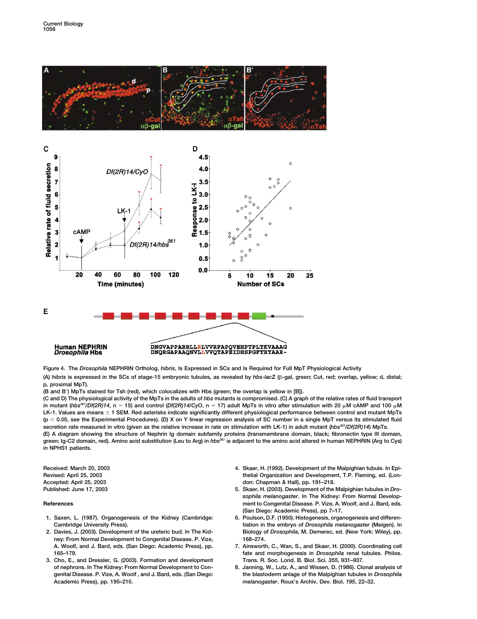



**Figure 4. The** *Drosophila* **NEPHRIN Ortholog,** *hibris***, Is Expressed in SCs and Is Required for Full MpT Physiological Activity**

(A) *hibris* is expressed in the SCs of stage-15 embryonic tubules, as revealed by *hbs-lac*Ζ (β-gal, green; Cut, red; overlap, yellow; d, distal; **p, proximal MpT).**

**(B and B) MpTs stained for Tsh (red), which colocalizes with Hbs (green; the overlap is yellow in [B]).**

**(C and D) The physiological activity of the MpTs in the adults of** *hbs* **mutants is compromised. (C) A graph of the relative rates of fluid transport** in mutant ( $hbs^{36}/Df(2R)14$ , n = 15) and control ( $Df(2R)14/CyO$ , n = 17) adult MpTs in vitro after stimulation with 20  $\mu$ M cAMP and 100  $\mu$ M LK-1. Values are means  $\pm$  1 SEM. Red asterisks indicate significantly different physiological performance between control and mutant MpTs **(p 0.05, see the Experimental Procedures). (D) X on Y linear regression analysis of SC number in a single MpT versus its stimulated fluid** secretion rate measured in vitro (given as the relative increase in rate on stimulation with LK-1) in adult mutant (*hbs<sup>361</sup>/Df(2R)14*) MpTs. **(E) A diagram showing the structure of Nephrin Ig domain subfamily proteins (transmembrane domain, black; fibronectin type III domain, green; Ig-C2 domain, red). Amino acid substitution (Leu to Arg) in** *hbs361* **is adjacent to the amino acid altered in human NEPHRIN (Arg to Cys) in NPHS1 patients.**

- **1. Saxen, L. (1987). Organogenesis of the Kidney (Cambridge: 6. Poulson, D.F. (1950). Histogenesis, organogenesis and differen-**
- **2. Davies, J. (2003). Development of the ureteric bud. In The Kid- Biology of** *Drosophila***, M. Demerec, ed. (New York: Wiley), pp. ney: From Normal Development to Congenital Disease. P. Vize, 168–274. A. Woolf, and J. Bard, eds. (San Diego: Academic Press), pp. 7. Ainsworth, C., Wan, S., and Skaer, H. (2000). Coordinating cell**
- **3. Cho, E., and Dressler, G. (2003). Formation and development Trans. R. Soc. Lond. B. Biol. Sci.** *355***, 931–937. Academic Press), pp. 195–210.** *melanogaster***. Roux's Archiv. Dev. Biol.** *195***, 22–32.**
- **Received: March 20, 2003 4. Skaer, H. (1992). Development of the Malpighian tubule. In Epi-Revised: April 25, 2003 thelial Organization and Development, T.P. Fleming, ed. (Lon-Accepted: April 25, 2003 don: Chapman & Hall), pp. 191–218.**
- **Published: June 17, 2003 5. Skaer, H. (2003). Development of the Malpighian tubules in** *Drosophila melanogaster***. In The Kidney: From Normal Develop-References ment to Congenital Disease. P. Vize, A. Woolf, and J. Bard, eds. (San Diego: Academic Press), pp 7–17.**
	- **Cambridge University Press). tiation in the embryo of** *Drosophila melanogaster* **(Meigen). In**
	- **165–179. fate and morphogenesis in** *Drosophila* **renal tubules. Philos.**
	- 8. Janning, W., Lutz, A., and Wissen, D. (1986). Clonal analysis of **genital Disease. P. Vize, A. Woolf , and J. Bard, eds. (San Diego: the blastoderm anlage of the Malpighian tubules in** *Drosophila*